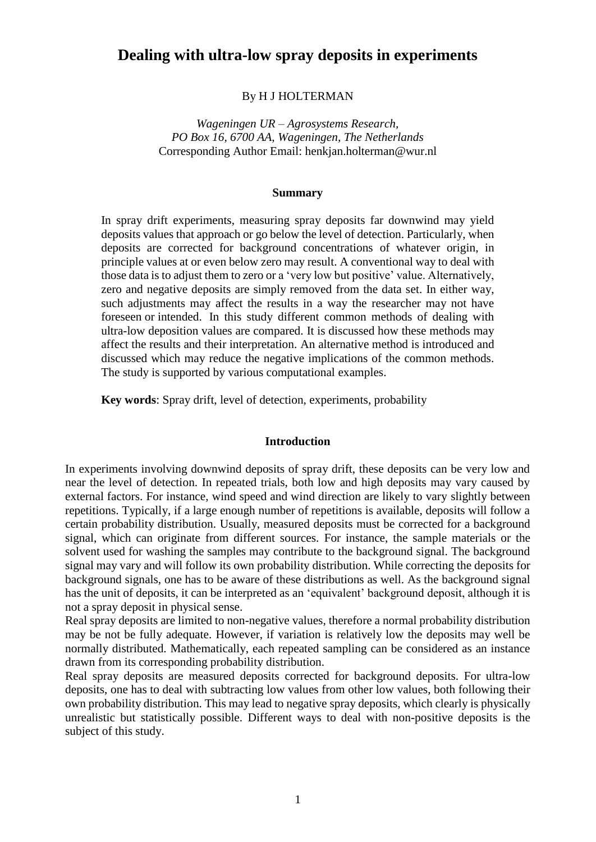# **Dealing with ultra-low spray deposits in experiments**

# By H J HOLTERMAN

*Wageningen UR – Agrosystems Research, PO Box 16, 6700 AA, Wageningen, The Netherlands* Corresponding Author Email: henkjan.holterman@wur.nl

# **Summary**

In spray drift experiments, measuring spray deposits far downwind may yield deposits values that approach or go below the level of detection. Particularly, when deposits are corrected for background concentrations of whatever origin, in principle values at or even below zero may result. A conventional way to deal with those data is to adjust them to zero or a 'very low but positive' value. Alternatively, zero and negative deposits are simply removed from the data set. In either way, such adjustments may affect the results in a way the researcher may not have foreseen or intended. In this study different common methods of dealing with ultra-low deposition values are compared. It is discussed how these methods may affect the results and their interpretation. An alternative method is introduced and discussed which may reduce the negative implications of the common methods. The study is supported by various computational examples.

**Key words**: Spray drift, level of detection, experiments, probability

### **Introduction**

In experiments involving downwind deposits of spray drift, these deposits can be very low and near the level of detection. In repeated trials, both low and high deposits may vary caused by external factors. For instance, wind speed and wind direction are likely to vary slightly between repetitions. Typically, if a large enough number of repetitions is available, deposits will follow a certain probability distribution. Usually, measured deposits must be corrected for a background signal, which can originate from different sources. For instance, the sample materials or the solvent used for washing the samples may contribute to the background signal. The background signal may vary and will follow its own probability distribution. While correcting the deposits for background signals, one has to be aware of these distributions as well. As the background signal has the unit of deposits, it can be interpreted as an 'equivalent' background deposit, although it is not a spray deposit in physical sense.

Real spray deposits are limited to non-negative values, therefore a normal probability distribution may be not be fully adequate. However, if variation is relatively low the deposits may well be normally distributed. Mathematically, each repeated sampling can be considered as an instance drawn from its corresponding probability distribution.

Real spray deposits are measured deposits corrected for background deposits. For ultra-low deposits, one has to deal with subtracting low values from other low values, both following their own probability distribution. This may lead to negative spray deposits, which clearly is physically unrealistic but statistically possible. Different ways to deal with non-positive deposits is the subject of this study.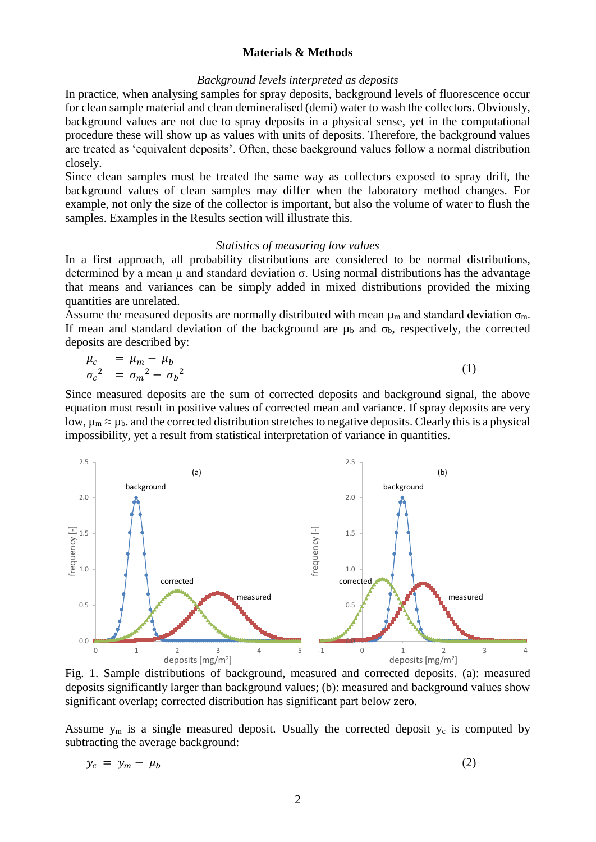# **Materials & Methods**

# *Background levels interpreted as deposits*

In practice, when analysing samples for spray deposits, background levels of fluorescence occur for clean sample material and clean demineralised (demi) water to wash the collectors. Obviously, background values are not due to spray deposits in a physical sense, yet in the computational procedure these will show up as values with units of deposits. Therefore, the background values are treated as 'equivalent deposits'. Often, these background values follow a normal distribution closely.

Since clean samples must be treated the same way as collectors exposed to spray drift, the background values of clean samples may differ when the laboratory method changes. For example, not only the size of the collector is important, but also the volume of water to flush the samples. Examples in the Results section will illustrate this.

### *Statistics of measuring low values*

In a first approach, all probability distributions are considered to be normal distributions, determined by a mean  $\mu$  and standard deviation  $\sigma$ . Using normal distributions has the advantage that means and variances can be simply added in mixed distributions provided the mixing quantities are unrelated.

Assume the measured deposits are normally distributed with mean  $\mu_m$  and standard deviation  $\sigma_m$ . If mean and standard deviation of the background are  $\mu_b$  and  $\sigma_b$ , respectively, the corrected deposits are described by:

$$
\mu_c = \mu_m - \mu_b
$$
  
\n
$$
\sigma_c^2 = \sigma_m^2 - \sigma_b^2
$$
\n(1)

Since measured deposits are the sum of corrected deposits and background signal, the above equation must result in positive values of corrected mean and variance. If spray deposits are very low,  $\mu_m \approx \mu_b$  and the corrected distribution stretches to negative deposits. Clearly this is a physical impossibility, yet a result from statistical interpretation of variance in quantities.



<span id="page-1-0"></span>Fig. 1. Sample distributions of background, measured and corrected deposits. (a): measured deposits significantly larger than background values; (b): measured and background values show significant overlap; corrected distribution has significant part below zero.

Assume  $y_m$  is a single measured deposit. Usually the corrected deposit  $y_c$  is computed by subtracting the average background:

<span id="page-1-1"></span>
$$
y_c = y_m - \mu_b \tag{2}
$$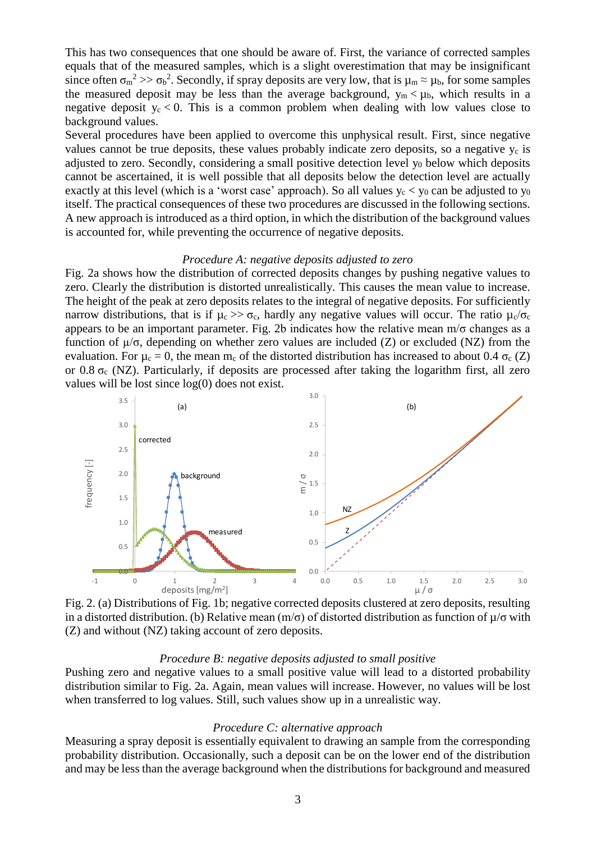This has two consequences that one should be aware of. First, the variance of corrected samples equals that of the measured samples, which is a slight overestimation that may be insignificant since often  $\sigma_m^2 \gg \sigma_b^2$ . Secondly, if spray deposits are very low, that is  $\mu_m \approx \mu_b$ , for some samples the measured deposit may be less than the average background,  $y_m < \mu_b$ , which results in a negative deposit  $y_c < 0$ . This is a common problem when dealing with low values close to background values.

Several procedures have been applied to overcome this unphysical result. First, since negative values cannot be true deposits, these values probably indicate zero deposits, so a negative  $y_c$  is adjusted to zero. Secondly, considering a small positive detection level  $y_0$  below which deposits cannot be ascertained, it is well possible that all deposits below the detection level are actually exactly at this level (which is a 'worst case' approach). So all values  $y_c < y_0$  can be adjusted to  $y_0$ itself. The practical consequences of these two procedures are discussed in the following sections. A new approach is introduced as a third option, in which the distribution of the background values is accounted for, while preventing the occurrence of negative deposits.

# *Procedure A: negative deposits adjusted to zero*

[Fig. 2a](#page-2-0) shows how the distribution of corrected deposits changes by pushing negative values to zero. Clearly the distribution is distorted unrealistically. This causes the mean value to increase. The height of the peak at zero deposits relates to the integral of negative deposits. For sufficiently narrow distributions, that is if  $\mu_c \gg \sigma_c$ , hardly any negative values will occur. The ratio  $\mu_c/\sigma_c$ appears to be an important parameter. [Fig. 2b](#page-2-0) indicates how the relative mean m/σ changes as a function of µ/σ, depending on whether zero values are included (Z) or excluded (NZ) from the evaluation. For  $\mu_c = 0$ , the mean m<sub>c</sub> of the distorted distribution has increased to about 0.4  $\sigma_c$  (Z) or 0.8  $\sigma_c$  (NZ). Particularly, if deposits are processed after taking the logarithm first, all zero values will be lost since log(0) does not exist.



<span id="page-2-0"></span>Fig. 2. (a) Distributions of [Fig. 1b](#page-1-0); negative corrected deposits clustered at zero deposits, resulting in a distorted distribution. (b) Relative mean (m/ $\sigma$ ) of distorted distribution as function of  $\mu/\sigma$  with (Z) and without (NZ) taking account of zero deposits.

#### *Procedure B: negative deposits adjusted to small positive*

Pushing zero and negative values to a small positive value will lead to a distorted probability distribution similar to [Fig. 2a](#page-2-0). Again, mean values will increase. However, no values will be lost when transferred to log values. Still, such values show up in a unrealistic way.

# *Procedure C: alternative approach*

Measuring a spray deposit is essentially equivalent to drawing an sample from the corresponding probability distribution. Occasionally, such a deposit can be on the lower end of the distribution and may be less than the average background when the distributions for background and measured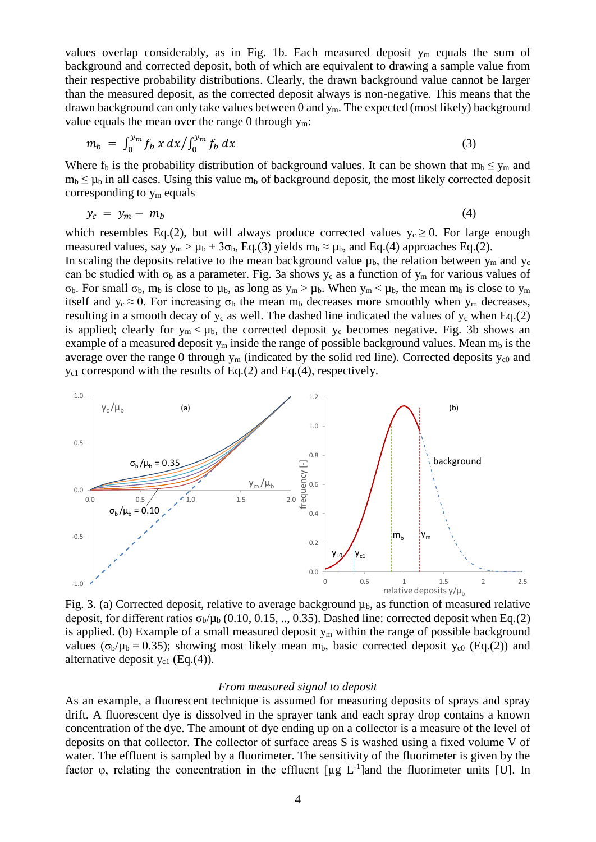values overlap considerably, as in [Fig. 1b](#page-1-0). Each measured deposit  $y_m$  equals the sum of background and corrected deposit, both of which are equivalent to drawing a sample value from their respective probability distributions. Clearly, the drawn background value cannot be larger than the measured deposit, as the corrected deposit always is non-negative. This means that the drawn background can only take values between  $0$  and  $y_m$ . The expected (most likely) background value equals the mean over the range 0 through  $y_m$ :

<span id="page-3-0"></span>
$$
m_b = \int_0^{y_m} f_b x \, dx / \int_0^{y_m} f_b \, dx \tag{3}
$$

Where  $f_b$  is the probability distribution of background values. It can be shown that  $m_b \le y_m$  and  $m_b \leq \mu_b$  in all cases. Using this value  $m_b$  of background deposit, the most likely corrected deposit corresponding to  $y_m$  equals

<span id="page-3-1"></span>
$$
y_c = y_m - m_b \tag{4}
$$

which resembles Eq[.\(2\),](#page-1-1) but will always produce corrected values  $y_c \ge 0$ . For large enough measured values, say  $y_m > \mu_b + 3\sigma_b$ , Eq[.\(3\)](#page-3-0) yields  $m_b \approx \mu_b$ , and Eq[.\(4\)](#page-3-1) approaches Eq[.\(2\).](#page-1-1)

In scaling the deposits relative to the mean background value  $\mu_b$ , the relation between  $y_m$  and  $y_c$ can be studied with  $\sigma_b$  as a parameter. [Fig. 3a](#page-3-2) shows  $y_c$  as a function of  $y_m$  for various values of σ<sub>b</sub>. For small σ<sub>b</sub>, m<sub>b</sub> is close to μ<sub>b</sub>, as long as  $y_m > μ_b$ . When  $y_m < μ_b$ , the mean m<sub>b</sub> is close to  $y_m$ itself and  $y_c \approx 0$ . For increasing  $\sigma_b$  the mean m<sub>b</sub> decreases more smoothly when  $y_m$  decreases, resulting in a smooth decay of  $y_c$  as well. The dashed line indicated the values of  $y_c$  when Eq[.\(2\)](#page-1-1) is applied; clearly for  $y_m < \mu_b$ , the corrected deposit  $y_c$  becomes negative. [Fig. 3b](#page-3-2) shows an example of a measured deposit  $y_m$  inside the range of possible background values. Mean  $m_b$  is the average over the range 0 through  $y_m$  (indicated by the solid red line). Corrected deposits  $y_{c0}$  and yc1 correspond with the results of Eq[.\(2\)](#page-1-1) and Eq[.\(4\),](#page-3-1) respectively.



<span id="page-3-2"></span>Fig. 3. (a) Corrected deposit, relative to average background  $\mu_b$ , as function of measured relative deposit, for different ratios  $\sigma_b/\mu_b$  (0.10, 0.15, .., 0.35). Dashed line: corrected deposit when Eq[.\(2\)](#page-1-1) is applied. (b) Example of a small measured deposit  $y_m$  within the range of possible background values ( $\sigma_b/\mu_b = 0.35$ ); showing most likely mean m<sub>b</sub>, basic corrected deposit y<sub>c0</sub> (Eq[.\(2\)\)](#page-1-1) and alternative deposit  $y_{c1}$  (Eq[.\(4\)\)](#page-3-1).

# *From measured signal to deposit*

As an example, a fluorescent technique is assumed for measuring deposits of sprays and spray drift. A fluorescent dye is dissolved in the sprayer tank and each spray drop contains a known concentration of the dye. The amount of dye ending up on a collector is a measure of the level of deposits on that collector. The collector of surface areas S is washed using a fixed volume V of water. The effluent is sampled by a fluorimeter. The sensitivity of the fluorimeter is given by the factor φ, relating the concentration in the effluent [μg L<sup>-1</sup>] and the fluorimeter units [U]. In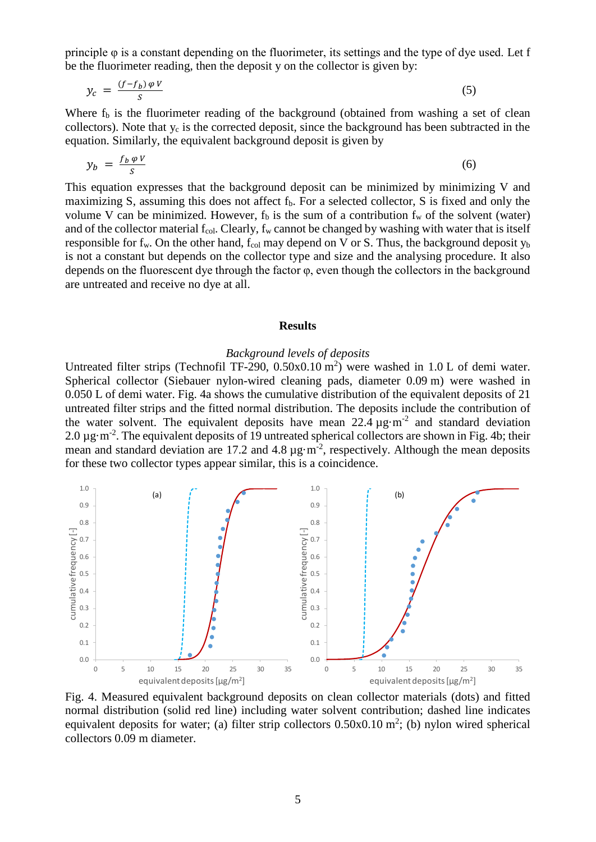principle φ is a constant depending on the fluorimeter, its settings and the type of dye used. Let f be the fluorimeter reading, then the deposit y on the collector is given by:

$$
y_c = \frac{(f - f_b) \varphi V}{s} \tag{5}
$$

Where  $f<sub>b</sub>$  is the fluorimeter reading of the background (obtained from washing a set of clean collectors). Note that  $y_c$  is the corrected deposit, since the background has been subtracted in the equation. Similarly, the equivalent background deposit is given by

$$
y_b = \frac{f_b \varphi V}{S} \tag{6}
$$

This equation expresses that the background deposit can be minimized by minimizing V and maximizing S, assuming this does not affect f<sub>b</sub>. For a selected collector, S is fixed and only the volume V can be minimized. However,  $f<sub>b</sub>$  is the sum of a contribution  $f<sub>w</sub>$  of the solvent (water) and of the collector material  $f_{col}$ . Clearly,  $f_w$  cannot be changed by washing with water that is itself responsible for  $f_w$ . On the other hand,  $f_{col}$  may depend on V or S. Thus, the background deposit  $y_b$ is not a constant but depends on the collector type and size and the analysing procedure. It also depends on the fluorescent dye through the factor φ, even though the collectors in the background are untreated and receive no dye at all.

### **Results**

## *Background levels of deposits*

Untreated filter strips (Technofil TF-290,  $0.50 \times 0.10$  m<sup>2</sup>) were washed in 1.0 L of demi water. Spherical collector (Siebauer nylon-wired cleaning pads, diameter 0.09 m) were washed in 0.050 L of demi water. [Fig. 4a](#page-4-0) shows the cumulative distribution of the equivalent deposits of 21 untreated filter strips and the fitted normal distribution. The deposits include the contribution of the water solvent. The equivalent deposits have mean  $22.4 \mu g \cdot m^{-2}$  and standard deviation 2.0  $\mu$ g·m<sup>-2</sup>. The equivalent deposits of 19 untreated spherical collectors are shown in [Fig. 4b](#page-4-0); their mean and standard deviation are 17.2 and 4.8  $\mu$ g·m<sup>-2</sup>, respectively. Although the mean deposits for these two collector types appear similar, this is a coincidence.



<span id="page-4-0"></span>Fig. 4. Measured equivalent background deposits on clean collector materials (dots) and fitted normal distribution (solid red line) including water solvent contribution; dashed line indicates equivalent deposits for water; (a) filter strip collectors  $0.50x0.10$  m<sup>2</sup>; (b) nylon wired spherical collectors 0.09 m diameter.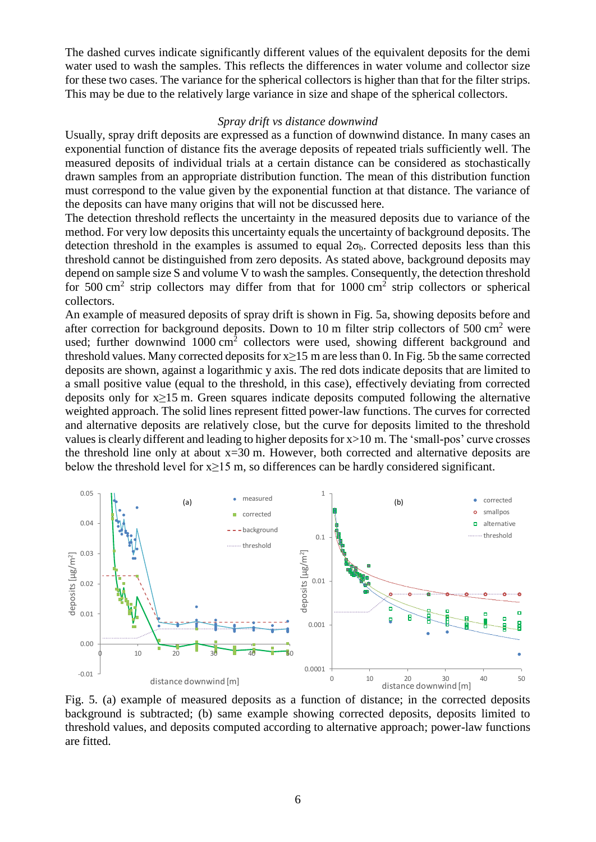The dashed curves indicate significantly different values of the equivalent deposits for the demi water used to wash the samples. This reflects the differences in water volume and collector size for these two cases. The variance for the spherical collectors is higher than that for the filter strips. This may be due to the relatively large variance in size and shape of the spherical collectors.

# *Spray drift vs distance downwind*

Usually, spray drift deposits are expressed as a function of downwind distance. In many cases an exponential function of distance fits the average deposits of repeated trials sufficiently well. The measured deposits of individual trials at a certain distance can be considered as stochastically drawn samples from an appropriate distribution function. The mean of this distribution function must correspond to the value given by the exponential function at that distance. The variance of the deposits can have many origins that will not be discussed here.

The detection threshold reflects the uncertainty in the measured deposits due to variance of the method. For very low deposits this uncertainty equals the uncertainty of background deposits. The detection threshold in the examples is assumed to equal  $2\sigma_b$ . Corrected deposits less than this threshold cannot be distinguished from zero deposits. As stated above, background deposits may depend on sample size S and volume V to wash the samples. Consequently, the detection threshold for 500 cm<sup>2</sup> strip collectors may differ from that for 1000 cm<sup>2</sup> strip collectors or spherical collectors.

An example of measured deposits of spray drift is shown in [Fig. 5a](#page-5-0), showing deposits before and after correction for background deposits. Down to 10 m filter strip collectors of 500 cm<sup>2</sup> were used; further downwind  $1000 \text{ cm}^2$  collectors were used, showing different background and threshold values. Many corrected deposits for  $x>15$  m are less than 0. In [Fig. 5b](#page-5-0) the same corrected deposits are shown, against a logarithmic y axis. The red dots indicate deposits that are limited to a small positive value (equal to the threshold, in this case), effectively deviating from corrected deposits only for x≥15 m. Green squares indicate deposits computed following the alternative weighted approach. The solid lines represent fitted power-law functions. The curves for corrected and alternative deposits are relatively close, but the curve for deposits limited to the threshold values is clearly different and leading to higher deposits for x>10 m. The 'small-pos' curve crosses the threshold line only at about  $x=30$  m. However, both corrected and alternative deposits are below the threshold level for  $x \ge 15$  m, so differences can be hardly considered significant.



<span id="page-5-0"></span>Fig. 5. (a) example of measured deposits as a function of distance; in the corrected deposits background is subtracted; (b) same example showing corrected deposits, deposits limited to threshold values, and deposits computed according to alternative approach; power-law functions are fitted.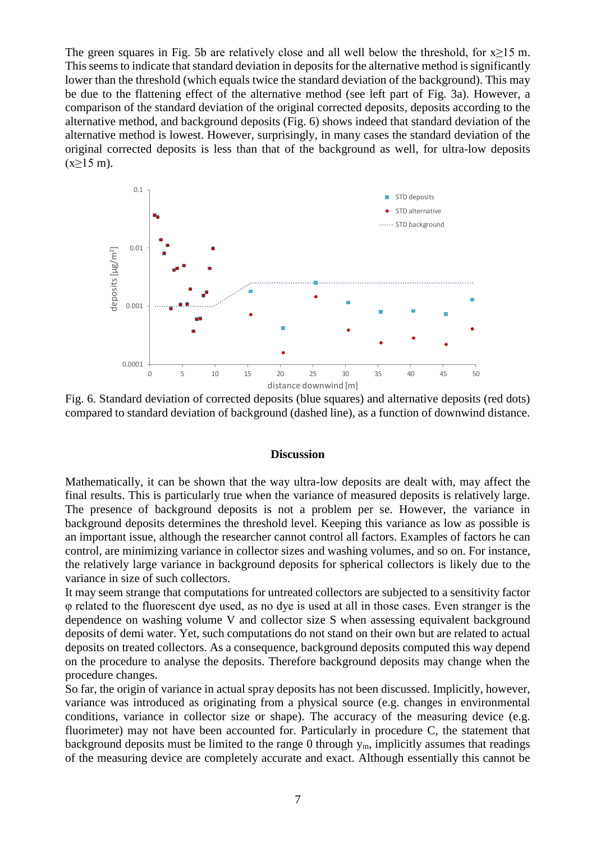The green squares in [Fig. 5b](#page-5-0) are relatively close and all well below the threshold, for  $x>15$  m. This seems to indicate that standard deviation in deposits for the alternative method is significantly lower than the threshold (which equals twice the standard deviation of the background). This may be due to the flattening effect of the alternative method (see left part of [Fig. 3a](#page-3-2)). However, a comparison of the standard deviation of the original corrected deposits, deposits according to the alternative method, and background deposits [\(Fig. 6\)](#page-6-0) shows indeed that standard deviation of the alternative method is lowest. However, surprisingly, in many cases the standard deviation of the original corrected deposits is less than that of the background as well, for ultra-low deposits  $(x \ge 15 \text{ m}).$ 



<span id="page-6-0"></span>Fig. 6. Standard deviation of corrected deposits (blue squares) and alternative deposits (red dots) compared to standard deviation of background (dashed line), as a function of downwind distance.

### **Discussion**

Mathematically, it can be shown that the way ultra-low deposits are dealt with, may affect the final results. This is particularly true when the variance of measured deposits is relatively large. The presence of background deposits is not a problem per se. However, the variance in background deposits determines the threshold level. Keeping this variance as low as possible is an important issue, although the researcher cannot control all factors. Examples of factors he can control, are minimizing variance in collector sizes and washing volumes, and so on. For instance, the relatively large variance in background deposits for spherical collectors is likely due to the variance in size of such collectors.

It may seem strange that computations for untreated collectors are subjected to a sensitivity factor φ related to the fluorescent dye used, as no dye is used at all in those cases. Even stranger is the dependence on washing volume V and collector size S when assessing equivalent background deposits of demi water. Yet, such computations do not stand on their own but are related to actual deposits on treated collectors. As a consequence, background deposits computed this way depend on the procedure to analyse the deposits. Therefore background deposits may change when the procedure changes.

So far, the origin of variance in actual spray deposits has not been discussed. Implicitly, however, variance was introduced as originating from a physical source (e.g. changes in environmental conditions, variance in collector size or shape). The accuracy of the measuring device (e.g. fluorimeter) may not have been accounted for. Particularly in procedure C, the statement that background deposits must be limited to the range 0 through  $y_m$ , implicitly assumes that readings of the measuring device are completely accurate and exact. Although essentially this cannot be